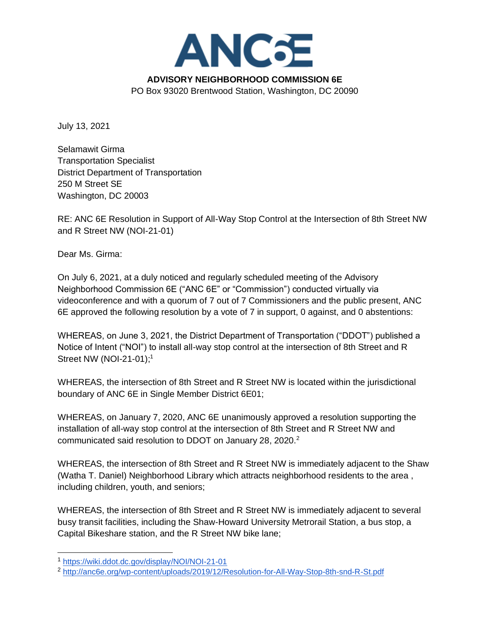

July 13, 2021

Selamawit Girma Transportation Specialist District Department of Transportation 250 M Street SE Washington, DC 20003

RE: ANC 6E Resolution in Support of All-Way Stop Control at the Intersection of 8th Street NW and R Street NW (NOI-21-01)

Dear Ms. Girma:

On July 6, 2021, at a duly noticed and regularly scheduled meeting of the Advisory Neighborhood Commission 6E ("ANC 6E" or "Commission") conducted virtually via videoconference and with a quorum of 7 out of 7 Commissioners and the public present, ANC 6E approved the following resolution by a vote of 7 in support, 0 against, and 0 abstentions:

WHEREAS, on June 3, 2021, the District Department of Transportation ("DDOT") published a Notice of Intent ("NOI") to install all-way stop control at the intersection of 8th Street and R Street NW (NOI-21-01);<sup>1</sup>

WHEREAS, the intersection of 8th Street and R Street NW is located within the jurisdictional boundary of ANC 6E in Single Member District 6E01;

WHEREAS, on January 7, 2020, ANC 6E unanimously approved a resolution supporting the installation of all-way stop control at the intersection of 8th Street and R Street NW and communicated said resolution to DDOT on January 28, 2020.<sup>2</sup>

WHEREAS, the intersection of 8th Street and R Street NW is immediately adjacent to the Shaw (Watha T. Daniel) Neighborhood Library which attracts neighborhood residents to the area , including children, youth, and seniors;

WHEREAS, the intersection of 8th Street and R Street NW is immediately adjacent to several busy transit facilities, including the Shaw-Howard University Metrorail Station, a bus stop, a Capital Bikeshare station, and the R Street NW bike lane;

<sup>1</sup> <https://wiki.ddot.dc.gov/display/NOI/NOI-21-01>

<sup>2</sup> <http://anc6e.org/wp-content/uploads/2019/12/Resolution-for-All-Way-Stop-8th-snd-R-St.pdf>